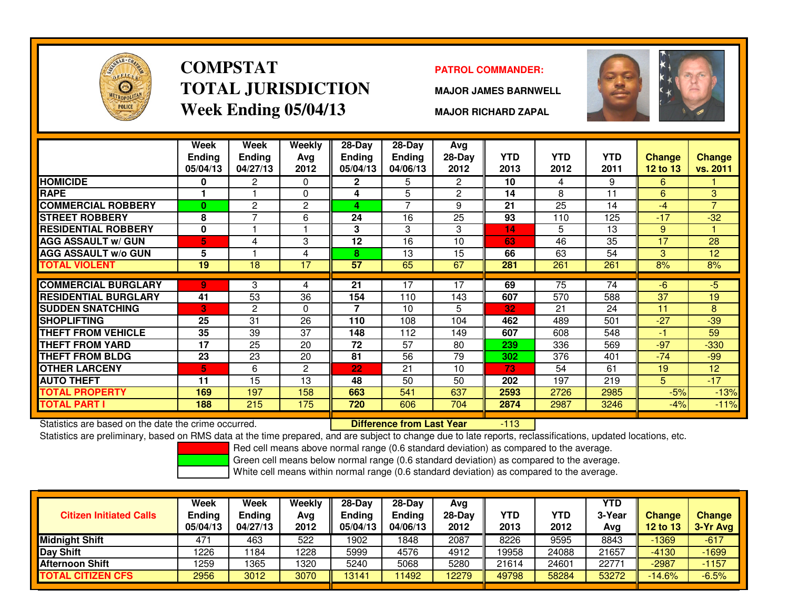

# **COMPSTATTOTAL JURISDICTIONWeek Ending 05/04/13**

### **PATROL COMMANDER:**

**MAJOR JAMES BARNWELL**



**MAJOR RICHARD ZAPAL**

|                             | Week<br><b>Ending</b><br>05/04/13 | <b>Week</b><br><b>Ending</b><br>04/27/13 | Weekly<br>Avg<br>2012 | $28$ -Day<br><b>Ending</b><br>05/04/13 | 28-Day<br>Ending<br>04/06/13 | Avg<br>$28-Day$<br>2012 | <b>YTD</b><br>2013 | <b>YTD</b><br>2012 | <b>YTD</b><br>2011 | Change<br><b>12 to 13</b> | <b>Change</b><br>vs. 2011 |
|-----------------------------|-----------------------------------|------------------------------------------|-----------------------|----------------------------------------|------------------------------|-------------------------|--------------------|--------------------|--------------------|---------------------------|---------------------------|
| <b>HOMICIDE</b>             | 0                                 | 2                                        | 0                     | $\mathbf{2}$                           | 5                            | $\mathbf{2}^{\circ}$    | 10                 | 4                  | 9                  | 6                         |                           |
| <b>RAPE</b>                 |                                   |                                          | $\mathbf{0}$          | 4                                      | 5                            | 2                       | 14                 | 8                  | 11                 | 6                         | 3                         |
| <b>COMMERCIAL ROBBERY</b>   | $\bf{0}$                          | 2                                        | $\overline{c}$        | 4                                      | 7                            | 9                       | 21                 | 25                 | 14                 | $-4$                      | $\overline{7}$            |
| <b>STREET ROBBERY</b>       | 8                                 | $\overline{\phantom{0}}$                 | 6                     | 24                                     | 16                           | 25                      | 93                 | 110                | 125                | $-17$                     | $-32$                     |
| <b>RESIDENTIAL ROBBERY</b>  | $\mathbf 0$                       |                                          |                       | 3                                      | 3                            | 3                       | 14                 | 5                  | 13                 | 9                         |                           |
| <b>AGG ASSAULT w/ GUN</b>   | 5                                 | 4                                        | 3                     | 12                                     | 16                           | 10                      | 63                 | 46                 | 35                 | 17                        | 28                        |
| <b>AGG ASSAULT w/o GUN</b>  | 5                                 |                                          | 4                     | 8                                      | 13                           | 15                      | 66                 | 63                 | 54                 | 3                         | 12                        |
| <b>TOTAL VIOLENT</b>        | 19                                | 18                                       | 17                    | $\overline{57}$                        | 65                           | 67                      | 281                | 261                | 261                | 8%                        | 8%                        |
|                             |                                   |                                          |                       |                                        |                              |                         |                    |                    |                    |                           |                           |
| <b>COMMERCIAL BURGLARY</b>  | 9                                 | 3                                        | 4                     | 21                                     | 17                           | 17                      | 69                 | $\overline{75}$    | 74                 | $-6$                      | -5.                       |
| <b>RESIDENTIAL BURGLARY</b> | 41                                | 53                                       | 36                    | 154                                    | 110                          | 143                     | 607                | 570                | 588                | 37                        | 19                        |
| <b>SUDDEN SNATCHING</b>     | Ū.                                | 2                                        | $\Omega$              | 7                                      | 10                           | 5                       | 32                 | 21                 | 24                 | 11                        | 8                         |
| <b>SHOPLIFTING</b>          | 25                                | 31                                       | 26                    | 110                                    | 108                          | 104                     | 462                | 489                | 501                | $-27$                     | $-39$                     |
| <b>THEFT FROM VEHICLE</b>   | 35                                | 39                                       | 37                    | 148                                    | 112                          | 149                     | 607                | 608                | 548                | -1                        | 59                        |
| THEFT FROM YARD             | 17                                | 25                                       | 20                    | 72                                     | 57                           | 80                      | 239                | 336                | 569                | $-97$                     | $-330$                    |
| <b>THEFT FROM BLDG</b>      | 23                                | 23                                       | 20                    | 81                                     | 56                           | 79                      | 302                | 376                | 401                | $-74$                     | $-99$                     |
| <b>OTHER LARCENY</b>        | 5                                 | 6                                        | $\overline{c}$        | 22                                     | 21                           | 10                      | 73                 | 54                 | 61                 | 19                        | 12                        |
| <b>AUTO THEFT</b>           | 11                                | 15                                       | 13                    | 48                                     | 50                           | 50                      | 202                | 197                | 219                | 5                         | $-17$                     |
| <b>TOTAL PROPERTY</b>       | 169                               | 197                                      | 158                   | 663                                    | 541                          | 637                     | 2593               | 2726               | 2985               | $-5%$                     | $-13%$                    |
| <b>TOTAL PART I</b>         | 188                               | 215                                      | 175                   | 720                                    | 606                          | 704                     | 2874               | 2987               | 3246               | $-4%$                     | $-11%$                    |

Statistics are based on the date the crime occurred. **Difference from Last Year** 

-113

Statistics are preliminary, based on RMS data at the time prepared, and are subject to change due to late reports, reclassifications, updated locations, etc.

Red cell means above normal range (0.6 standard deviation) as compared to the average.

Green cell means below normal range (0.6 standard deviation) as compared to the average.

| <b>Citizen Initiated Calls</b> | Week<br><b>Ending</b><br>05/04/13 | <b>Week</b><br><b>Ending</b><br>04/27/13 | Weekly<br>Avg<br>2012 | $28-Dav$<br>Endina<br>05/04/13 | $28-Day$<br><b>Ending</b><br>04/06/13 | Avg<br>$28-Dav$<br>2012 | YTD<br>2013 | YTD<br>2012 | <b>YTD</b><br>3-Year<br>Avg | <b>Change</b><br><b>12 to 13</b> | <b>Change</b><br>3-Yr Avg |
|--------------------------------|-----------------------------------|------------------------------------------|-----------------------|--------------------------------|---------------------------------------|-------------------------|-------------|-------------|-----------------------------|----------------------------------|---------------------------|
| <b>Midnight Shift</b>          | 47'                               | 463                                      | 522                   | 1902                           | 1848                                  | 2087                    | 8226        | 9595        | 8843                        | $-1369$                          | $-617$                    |
| Day Shift                      | 1226                              | 184                                      | 1228                  | 5999                           | 4576                                  | 4912                    | 19958       | 24088       | 21657                       | $-4130$                          | $-1699$                   |
| <b>Afternoon Shift</b>         | 1259                              | 1365                                     | 1320                  | 5240                           | 5068                                  | 5280                    | 21614       | 24601       | 22771                       | $-2987$                          | $-1157$                   |
| <b>TOTAL CITIZEN CFS</b>       | 2956                              | 3012                                     | 3070                  | 3141                           | 11492                                 | 2279                    | 49798       | 58284       | 53272                       | $-14.6%$                         | $-6.5%$                   |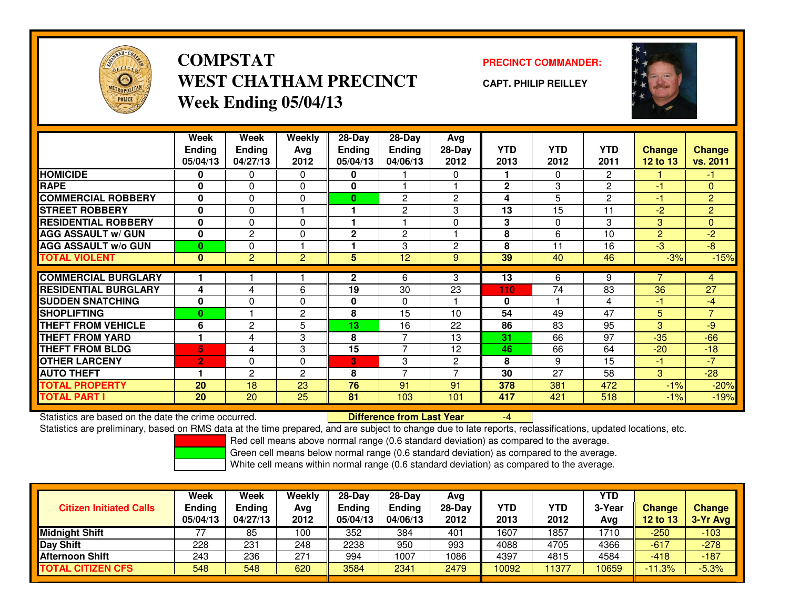

**COMPSTATWEST CHATHAM PRECINCTWeek Ending 05/04/13**

**PRECINCT COMMANDER:**

**CAPT. PHILIP REILLEY**



|                             | Week           | Week           | Weekly         | 28-Day       | $28 - Day$     | Avg            |              |            |                |                |                |
|-----------------------------|----------------|----------------|----------------|--------------|----------------|----------------|--------------|------------|----------------|----------------|----------------|
|                             | <b>Ending</b>  | <b>Ending</b>  | Avg            | Ending       | <b>Ending</b>  | 28-Day         | <b>YTD</b>   | <b>YTD</b> | <b>YTD</b>     | <b>Change</b>  | <b>Change</b>  |
|                             | 05/04/13       | 04/27/13       | 2012           | 05/04/13     | 04/06/13       | 2012           | 2013         | 2012       | 2011           | 12 to 13       | vs. 2011       |
| <b>HOMICIDE</b>             | 0              | 0              | $\Omega$       | 0            |                | 0              |              | $\Omega$   | $\overline{2}$ |                | Æ              |
| <b>RAPE</b>                 | 0              | 0              | $\Omega$       | 0            |                |                | $\mathbf{2}$ | 3          | $\mathbf{2}$   | $-1$           | $\mathbf{0}$   |
| <b>COMMERCIAL ROBBERY</b>   | $\bf{0}$       | $\Omega$       | $\Omega$       | $\bf{0}$     | $\overline{c}$ | $\overline{2}$ | 4            | 5          | $\overline{2}$ | $-1$           | $\overline{2}$ |
| <b>STREET ROBBERY</b>       | $\bf{0}$       | 0              |                |              | 2              | 3              | 13           | 15         | 11             | $-2$           | $\overline{2}$ |
| <b>RESIDENTIAL ROBBERY</b>  | 0              | 0              | $\Omega$       |              |                | $\mathbf{0}$   | 3            | $\Omega$   | 3              | 3              | $\mathbf{0}$   |
| <b>AGG ASSAULT w/ GUN</b>   | $\bf{0}$       | $\overline{2}$ | $\Omega$       | 2            | $\overline{c}$ |                | 8            | 6          | 10             | $\overline{2}$ | $-2$           |
| <b>AGG ASSAULT w/o GUN</b>  | $\bf{0}$       | 0              |                |              | 3              | $\overline{c}$ | 8            | 11         | 16             | $-3$           | $-8$           |
| <b>TOTAL VIOLENT</b>        | $\mathbf{0}$   | $\overline{2}$ | $\overline{2}$ | 5            | 12             | 9              | 39           | 40         | 46             | $-3%$          | $-15%$         |
|                             |                |                |                |              |                |                |              |            |                | 7              |                |
| <b>COMMERCIAL BURGLARY</b>  |                |                |                | $\mathbf{2}$ | 6              | 3              | 13           | 6          | 9              |                | $\overline{4}$ |
| <b>RESIDENTIAL BURGLARY</b> | 4              | 4              | 6              | 19           | 30             | 23             | 110          | 74         | 83             | 36             | 27             |
| <b>SUDDEN SNATCHING</b>     | $\mathbf{0}$   | $\Omega$       | $\Omega$       | 0            | $\mathbf{0}$   |                | $\bf{0}$     |            | 4              | $-1$           | $-4$           |
| <b>SHOPLIFTING</b>          | $\bf{0}$       |                | $\mathbf{2}$   | 8            | 15             | 10             | 54           | 49         | 47             | 5              | $\overline{7}$ |
| <b>THEFT FROM VEHICLE</b>   | 6              | $\overline{2}$ | 5              | 13           | 16             | 22             | 86           | 83         | 95             | 3              | -9             |
| <b>THEFT FROM YARD</b>      |                | 4              | 3              | 8            | $\overline{7}$ | 13             | 31           | 66         | 97             | $-35$          | $-66$          |
| <b>THEFT FROM BLDG</b>      | 5              | 4              | 3              | 15           | $\overline{ }$ | 12             | 46           | 66         | 64             | $-20$          | $-18$          |
| <b>OTHER LARCENY</b>        | $\overline{2}$ | $\Omega$       | $\Omega$       | 3            | 3              | $\overline{c}$ | 8            | 9          | 15             | $-1$           | $-7$           |
| <b>AUTO THEFT</b>           |                | 2              | $\overline{2}$ | 8            | $\overline{7}$ | ⇁              | 30           | 27         | 58             | 3              | $-28$          |
| <b>TOTAL PROPERTY</b>       | 20             | 18             | 23             | 76           | 91             | 91             | 378          | 381        | 472            | $-1%$          | $-20%$         |
| <b>TOTAL PART I</b>         | <b>20</b>      | 20             | 25             | 81           | 103            | 101            | 417          | 421        | 518            | $-1%$          | $-19%$         |

Statistics are based on the date the crime occurred. **Difference from Last Year** 

Statistics are preliminary, based on RMS data at the time prepared, and are subject to change due to late reports, reclassifications, updated locations, etc.

Red cell means above normal range (0.6 standard deviation) as compared to the average.

-4

Green cell means below normal range (0.6 standard deviation) as compared to the average.

| <b>Citizen Initiated Calls</b> | Week<br>Ending<br>05/04/13 | Week<br><b>Ending</b><br>04/27/13 | Weekly<br>Avg<br>2012 | $28-Day$<br><b>Endina</b><br>05/04/13 | $28-Dav$<br><b>Ending</b><br>04/06/13 | Avg<br>28-Dav<br>2012 | YTD<br>2013 | YTD<br>2012 | YTD<br>3-Year<br>Avg | <b>Change</b><br><b>12 to 13</b> | Change<br>3-Yr Avg |
|--------------------------------|----------------------------|-----------------------------------|-----------------------|---------------------------------------|---------------------------------------|-----------------------|-------------|-------------|----------------------|----------------------------------|--------------------|
| <b>Midnight Shift</b>          |                            | 85                                | 100                   | 352                                   | 384                                   | 401                   | 1607        | 857ء        | 1710                 | $-250$                           | $-103$             |
| Day Shift                      | 228                        | 231                               | 248                   | 2238                                  | 950                                   | 993                   | 4088        | 4705        | 4366                 | $-617$                           | $-278$             |
| <b>Afternoon Shift</b>         | 243                        | 236                               | 271                   | 994                                   | 1007                                  | 1086                  | 4397        | 4815        | 4584                 | $-418$                           | $-187$             |
| <b>TOTAL CITIZEN CFS</b>       | 548                        | 548                               | 620                   | 3584                                  | 2341                                  | 2479                  | 10092       | 11377       | 10659                | $-11.3%$                         | $-5.3%$            |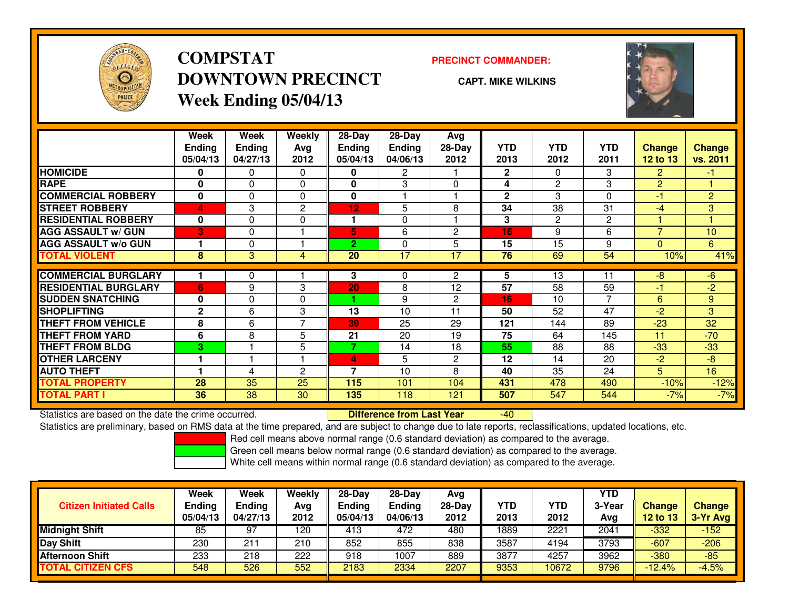

## **COMPSTATDOWNTOWN PRECINCTWeek Ending 05/04/13**

### **PRECINCT COMMANDER:**

**CAPT. MIKE WILKINS**

 $-40$ 



|                             | Week          | Week     | Weekly         | 28-Day                   | $28-Day$      | Avg            |              |                |            |                |                |
|-----------------------------|---------------|----------|----------------|--------------------------|---------------|----------------|--------------|----------------|------------|----------------|----------------|
|                             | <b>Ending</b> | Ending   | Ava            | Ending                   | <b>Ending</b> | $28-Day$       | <b>YTD</b>   | <b>YTD</b>     | <b>YTD</b> | <b>Change</b>  | <b>Change</b>  |
|                             | 05/04/13      | 04/27/13 | 2012           | 05/04/13                 | 04/06/13      | 2012           | 2013         | 2012           | 2011       | 12 to 13       | vs. 2011       |
| <b>HOMICIDE</b>             | 0             | 0        | $\Omega$       | 0                        | 2             |                | $\mathbf{2}$ | 0              | 3          | $\overline{2}$ | $\bullet$      |
| <b>RAPE</b>                 | 0             | 0        | $\mathbf 0$    | 0                        | 3             | $\Omega$       | 4            | $\overline{2}$ | 3          | $\overline{2}$ |                |
| <b>COMMERCIAL ROBBERY</b>   | $\bf{0}$      | 0        | $\Omega$       | 0                        |               |                | $\mathbf{2}$ | 3              | 0          | -1             | $\overline{2}$ |
| <b>STREET ROBBERY</b>       | 4             | 3        | 2              | 12                       | 5             | 8              | 34           | 38             | 31         | -4             | 3 <sup>1</sup> |
| <b>RESIDENTIAL ROBBERY</b>  | $\bf{0}$      | 0        | $\mathbf 0$    |                          | 0             |                | 3            | 2              | 2          |                |                |
| <b>AGG ASSAULT w/ GUN</b>   | 3             | 0        |                | 5                        | 6             | $\overline{c}$ | 16           | 9              | 6          | $\overline{7}$ | 10             |
| <b>AGG ASSAULT w/o GUN</b>  |               | 0        |                | $\overline{2}$           | 0             | 5              | 15           | 15             | 9          | $\Omega$       | 6              |
| <b>TOTAL VIOLENT</b>        | 8             | 3        | 4              | 20                       | 17            | 17             | 76           | 69             | 54         | 10%            | 41%            |
|                             |               |          |                |                          |               |                |              |                |            |                |                |
| <b>COMMERCIAL BURGLARY</b>  |               | 0        |                | 3                        | 0             | $\overline{2}$ | 5            | 13             | 11         | -8             | $-6$           |
| <b>RESIDENTIAL BURGLARY</b> | 6             | 9        | 3              | 20                       | 8             | 12             | 57           | 58             | 59         | -1             | $-2$           |
| <b>SUDDEN SNATCHING</b>     | 0             | 0        | $\Omega$       |                          | 9             | 2              | 16           | 10             | 7          | 6              | 9              |
| <b>SHOPLIFTING</b>          | $\mathbf{2}$  | 6        | 3              | 13                       | 10            | 11             | 50           | 52             | 47         | $-2$           | 3              |
| <b>THEFT FROM VEHICLE</b>   | 8             | 6        | $\overline{ }$ | 39                       | 25            | 29             | 121          | 144            | 89         | $-23$          | 32             |
| <b>THEFT FROM YARD</b>      | 6             | 8        | 5              | 21                       | 20            | 19             | 75           | 64             | 145        | 11             | $-70$          |
| <b>THEFT FROM BLDG</b>      | 3             |          | 5              | $\overline{\phantom{a}}$ | 14            | 18             | 55           | 88             | 88         | $-33$          | $-33$          |
| <b>OTHER LARCENY</b>        |               |          |                | 4                        | 5             | $\overline{2}$ | 12           | 14             | 20         | $-2$           | -8             |
| <b>AUTO THEFT</b>           |               | 4        | $\overline{2}$ | 7                        | 10            | 8              | 40           | 35             | 24         | 5              | 16             |
| <b>TOTAL PROPERTY</b>       | 28            | 35       | 25             | 115                      | 101           | 104            | 431          | 478            | 490        | $-10%$         | $-12%$         |
| <b>TOTAL PART I</b>         | 36            | 38       | 30             | 135                      | 118           | 121            | 507          | 547            | 544        | $-7%$          | $-7%$          |

Statistics are based on the date the crime occurred. **Difference from Last Year** 

Statistics are preliminary, based on RMS data at the time prepared, and are subject to change due to late reports, reclassifications, updated locations, etc.

Red cell means above normal range (0.6 standard deviation) as compared to the average.

Green cell means below normal range (0.6 standard deviation) as compared to the average.

| <b>Week</b><br><b>Ending</b> | Week<br>Ending | Weekly<br>Avg | $28-Day$<br><b>Ending</b> | $28-Dav$<br><b>Ending</b> | Avg<br>$28-Dav$ | <b>YTD</b> | YTD   | <b>YTD</b><br>3-Year | Change   | <b>Change</b><br>$3-Yr$ Avg |
|------------------------------|----------------|---------------|---------------------------|---------------------------|-----------------|------------|-------|----------------------|----------|-----------------------------|
| 85                           | 97             | 120           | 413                       | 472                       | 480             | 1889       | 2221  | 2041                 | $-332$   | $-152$                      |
| 230                          | $21^{\circ}$   | 210           | 852                       | 855                       | 838             | 3587       | 4194  | 3793                 | $-607$   | $-206$                      |
| 233                          | 218            | 222           | 918                       | 1007                      | 889             | 3877       | 4257  | 3962                 | $-380$   | $-85$                       |
| 548                          | 526            | 552           | 2183                      | 2334                      | 2207            | 9353       | 10672 | 9796                 | $-12.4%$ | $-4.5%$                     |
|                              | 05/04/13       | 04/27/13      | 2012                      | 05/04/13                  | 04/06/13        | 2012       | 2013  | 2012                 | Avg      | 12 to 13                    |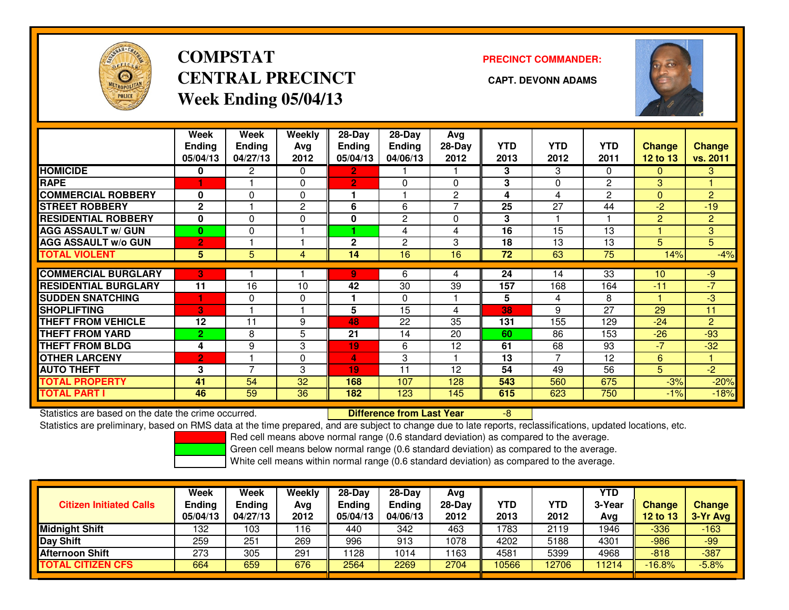

# **COMPSTATCENTRAL PRECINCT CAPT. DEVONN ADAMSWeek Ending 05/04/13**

**PRECINCT COMMANDER:**



|                             | Week<br><b>Ending</b><br>05/04/13 | Week<br><b>Ending</b><br>04/27/13 | Weekly<br>Ava<br>2012 | $28$ -Day<br>Ending<br>05/04/13 | $28$ -Day<br><b>Ending</b><br>04/06/13 | Avg<br>$28-Day$<br>2012 | <b>YTD</b><br>2013 | <b>YTD</b><br>2012 | <b>YTD</b><br>2011 | <b>Change</b><br>12 to 13 | <b>Change</b><br>vs. 2011 |
|-----------------------------|-----------------------------------|-----------------------------------|-----------------------|---------------------------------|----------------------------------------|-------------------------|--------------------|--------------------|--------------------|---------------------------|---------------------------|
| <b>HOMICIDE</b>             | 0                                 | 2                                 | $\Omega$              | $\mathbf{2}$                    |                                        |                         | 3                  | 3                  | 0                  | $\Omega$                  | 3                         |
| <b>RAPE</b>                 |                                   |                                   | $\Omega$              | $\mathbf{2}$                    | $\Omega$                               | $\Omega$                | 3                  | $\Omega$           | 2                  | 3                         |                           |
| <b>COMMERCIAL ROBBERY</b>   | $\Omega$                          | $\Omega$                          | $\Omega$              |                                 |                                        | $\overline{2}$          | 4                  | 4                  | 2                  | $\mathbf{0}$              | $\overline{2}$            |
| <b>STREET ROBBERY</b>       | $\mathbf{2}$                      |                                   | $\overline{2}$        | 6                               | 6                                      | ⇁                       | 25                 | 27                 | 44                 | $-2$                      | $-19$                     |
| <b>RESIDENTIAL ROBBERY</b>  | $\bf{0}$                          | 0                                 | $\mathbf 0$           | 0                               | $\overline{c}$                         | $\Omega$                | 3                  |                    |                    | $\overline{2}$            | $\overline{2}$            |
| <b>AGG ASSAULT w/ GUN</b>   | 0                                 | 0                                 |                       |                                 | 4                                      | 4                       | 16                 | 15                 | 13                 |                           | 3 <sup>1</sup>            |
| <b>AGG ASSAULT w/o GUN</b>  | $\overline{2}$                    |                                   |                       | $\mathbf{2}$                    | $\overline{2}$                         | 3                       | 18                 | 13                 | 13                 | 5                         | 5                         |
| <b>TOTAL VIOLENT</b>        | 5                                 | 5                                 | 4                     | 14                              | 16                                     | 16                      | 72                 | 63                 | 75                 | 14%                       | $-4%$                     |
| <b>COMMERCIAL BURGLARY</b>  | 3                                 |                                   |                       | 9.                              | 6                                      | 4                       | 24                 | 14                 | 33                 | 10                        | $-9$                      |
|                             |                                   |                                   |                       |                                 |                                        |                         |                    |                    |                    |                           | $-7$                      |
| <b>RESIDENTIAL BURGLARY</b> | 11                                | 16                                | 10                    | 42                              | 30                                     | 39                      | 157                | 168                | 164                | $-11$                     |                           |
| <b>SUDDEN SNATCHING</b>     |                                   | 0                                 | $\mathbf 0$           |                                 | $\Omega$                               |                         | 5                  | 4                  | 8                  |                           | $-3$                      |
| <b>SHOPLIFTING</b>          | 3                                 |                                   |                       | 5                               | 15                                     | 4                       | 38                 | 9                  | 27                 | 29                        | 11                        |
| <b>THEFT FROM VEHICLE</b>   | 12                                | 11                                | 9                     | 48                              | 22                                     | 35                      | 131                | 155                | 129                | $-24$                     | $\overline{2}$            |
| <b>THEFT FROM YARD</b>      | $\overline{2}$                    | 8                                 | 5                     | 21                              | 14                                     | 20                      | 60                 | 86                 | 153                | $-26$                     | $-93$                     |
| <b>THEFT FROM BLDG</b>      | 4                                 | 9                                 | 3                     | 19                              | 6                                      | 12                      | 61                 | 68                 | 93                 | $-7$                      | $-32$                     |
| <b>OTHER LARCENY</b>        | $\overline{2}$                    |                                   | $\mathbf 0$           | 4                               | 3                                      |                         | 13                 | 7                  | 12                 | 6                         |                           |
| <b>AUTO THEFT</b>           | 3                                 | 7                                 | 3                     | 19                              | 11                                     | 12                      | 54                 | 49                 | 56                 | 5                         | $-2$                      |
| <b>TOTAL PROPERTY</b>       | 41                                | 54                                | 32                    | 168                             | 107                                    | 128                     | 543                | 560                | 675                | $-3%$                     | $-20%$                    |
| <b>TOTAL PART I</b>         | 46                                | 59                                | 36                    | 182                             | 123                                    | 145                     | 615                | 623                | 750                | $-1%$                     | $-18%$                    |

Statistics are based on the date the crime occurred. **Difference from Last Year** 

Statistics are based on the date the crime occurred. **Externee the Difference from Last Year Theore Act Act Li**<br>Statistics are preliminary, based on RMS data at the time prepared, and are subject to change due to late repo

Red cell means above normal range (0.6 standard deviation) as compared to the average.

Green cell means below normal range (0.6 standard deviation) as compared to the average.

| <b>Citizen Initiated Calls</b> | <b>Week</b><br><b>Ending</b><br>05/04/13 | Week<br>Ending<br>04/27/13 | <b>Weekly</b><br>Avg<br>2012 | $28-Day$<br><b>Ending</b><br>05/04/13 | $28-Dav$<br>Ending<br>04/06/13 | Avg<br>$28-Dav$<br>2012 | <b>YTD</b><br>2013 | <b>YTD</b><br>2012 | <b>YTD</b><br>3-Year<br>Avg | <b>Change</b><br>12 to 13 | <b>Change</b><br>3-Yr Avg |
|--------------------------------|------------------------------------------|----------------------------|------------------------------|---------------------------------------|--------------------------------|-------------------------|--------------------|--------------------|-----------------------------|---------------------------|---------------------------|
| <b>Midnight Shift</b>          | 132                                      | 103                        | 116                          | 440                                   | 342                            | 463                     | 1783               | 2119               | 1946                        | $-336$                    | $-163$                    |
| Day Shift                      | 259                                      | 251                        | 269                          | 996                                   | 913                            | 1078                    | 4202               | 5188               | 4301                        | -986                      | $-99$                     |
| <b>Afternoon Shift</b>         | 273                                      | 305                        | 291                          | 1128                                  | 1014                           | 1163                    | 4581               | 5399               | 4968                        | $-818$                    | $-387$                    |
| <b>TOTAL CITIZEN CFS</b>       | 664                                      | 659                        | 676                          | 2564                                  | 2269                           | 2704                    | 10566              | 12706              | 1214                        | $-16.8%$                  | $-5.8%$                   |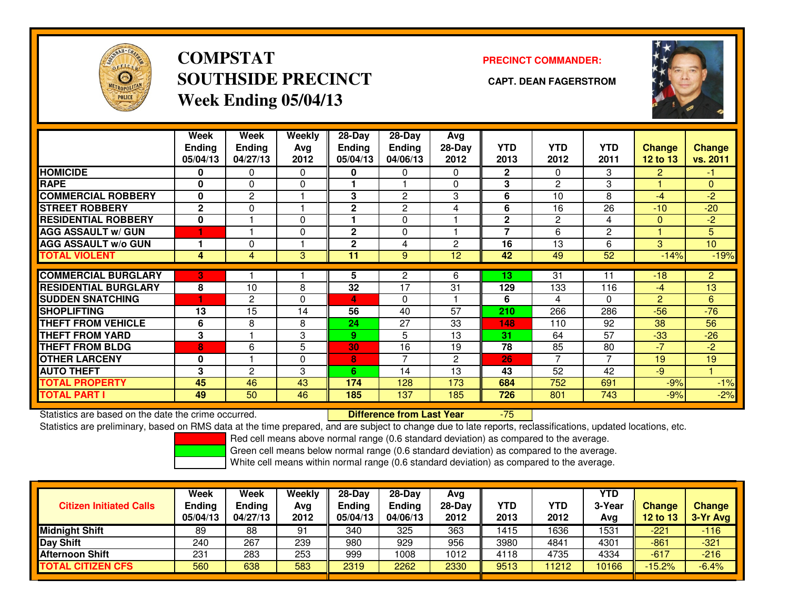

## **COMPSTATSOUTHSIDE PRECINCT CAPT. DEAN FAGERSTROMWeek Ending 05/04/13**

### **PRECINCT COMMANDER:**



|                             | Week<br><b>Ending</b><br>05/04/13 | Week<br><b>Ending</b><br>04/27/13 | Weekly<br>Avg<br>2012 | $28-Day$<br>Ending<br>05/04/13 | $28-Day$<br><b>Ending</b><br>04/06/13 | Avg<br>28-Day<br>2012 | <b>YTD</b><br>2013       | <b>YTD</b><br>2012 | <b>YTD</b><br>2011 | <b>Change</b><br><b>12 to 13</b> | <b>Change</b><br>vs. 2011 |
|-----------------------------|-----------------------------------|-----------------------------------|-----------------------|--------------------------------|---------------------------------------|-----------------------|--------------------------|--------------------|--------------------|----------------------------------|---------------------------|
| <b>HOMICIDE</b>             | 0                                 | 0                                 | $\Omega$              | 0                              | 0                                     | 0                     | $\mathbf{2}$             | $\Omega$           | 3                  | 2                                | -1.                       |
| <b>RAPE</b>                 | $\Omega$                          | $\Omega$                          | $\Omega$              |                                |                                       | $\Omega$              | 3                        | 2                  | 3                  |                                  | $\Omega$                  |
| <b>COMMERCIAL ROBBERY</b>   | 0                                 | 2                                 |                       | 3                              | 2                                     | 3                     | 6                        | 10                 | 8                  | $-4$                             | $-2$                      |
| <b>STREET ROBBERY</b>       | $\mathbf{2}$                      | $\mathbf{0}$                      |                       | $\mathbf{2}$                   | $\overline{c}$                        | 4                     | 6                        | 16                 | 26                 | $-10$                            | $-20$                     |
| <b>RESIDENTIAL ROBBERY</b>  | $\bf{0}$                          |                                   | $\Omega$              |                                | $\Omega$                              |                       | $\mathbf{2}$             | $\overline{2}$     | 4                  | $\mathbf{0}$                     | $-2$                      |
| <b>AGG ASSAULT W/ GUN</b>   | $\blacktriangleleft$              |                                   | $\mathbf 0$           | $\mathbf{2}$                   | 0                                     |                       | $\overline{\phantom{a}}$ | 6                  | 2                  |                                  | 5                         |
| <b>AGG ASSAULT w/o GUN</b>  |                                   | 0                                 |                       | $\mathbf{2}$                   | 4                                     | 2                     | 16                       | 13                 | 6                  | 3                                | 10                        |
| <b>TOTAL VIOLENT</b>        | 4                                 | 4                                 | 3                     | 11                             | 9                                     | 12                    | 42                       | 49                 | 52                 | $-14%$                           | $-19%$                    |
| <b>COMMERCIAL BURGLARY</b>  | छ।                                |                                   |                       | 5                              | 2                                     | 6                     | 13                       | 31                 | 11                 | $-18$                            | $\overline{2}$            |
| <b>RESIDENTIAL BURGLARY</b> | 8                                 | 10                                | 8                     | 32                             | 17                                    | 31                    | 129                      | 133                | 116                | -4                               | 13                        |
| <b>SUDDEN SNATCHING</b>     | и                                 | 2                                 | $\Omega$              | 4                              | $\Omega$                              |                       | 6                        | 4                  | 0                  | 2                                | 6                         |
| <b>SHOPLIFTING</b>          | 13                                | 15                                | 14                    | 56                             | 40                                    | 57                    | 210                      | 266                | 286                | $-56$                            | $-76$                     |
| <b>THEFT FROM VEHICLE</b>   | 6                                 | 8                                 | 8                     | 24                             | 27                                    | 33                    | 148                      | 110                | 92                 | 38                               | 56                        |
| <b>THEFT FROM YARD</b>      | 3                                 |                                   | 3                     | 9                              | 5                                     | 13                    | 31                       | 64                 | 57                 | $-33$                            | $-26$                     |
| <b>THEFT FROM BLDG</b>      | 18'                               | 6                                 | 5                     | 30                             | 16                                    | 19                    | 78                       | 85                 | 80                 | $-7$                             | $-2$                      |
| <b>OTHER LARCENY</b>        | $\bf{0}$                          |                                   | $\Omega$              | 8                              | 7                                     | $\overline{2}$        | 26                       | 7                  | 7                  | 19                               | 19                        |
| <b>AUTO THEFT</b>           | 3                                 | 2                                 | 3                     | 6.                             | 14                                    | 13                    | 43                       | 52                 | 42                 | -9                               |                           |
| <b>TOTAL PROPERTY</b>       | 45                                | 46                                | 43                    | 174                            | 128                                   | 173                   | 684                      | 752                | 691                | $-9%$                            | $-1%$                     |
| <b>TOTAL PART I</b>         | 49                                | 50                                | 46                    | 185                            | 137                                   | 185                   | 726                      | 801                | 743                | $-9%$                            | $-2%$                     |

Statistics are based on the date the crime occurred. **Difference from Last Year** 

-75

Statistics are preliminary, based on RMS data at the time prepared, and are subject to change due to late reports, reclassifications, updated locations, etc.

Red cell means above normal range (0.6 standard deviation) as compared to the average.

Green cell means below normal range (0.6 standard deviation) as compared to the average.

| <b>Citizen Initiated Calls</b> | <b>Week</b><br><b>Ending</b><br>05/04/13 | Week<br>Ending<br>04/27/13 | Weekly<br>Avg<br>2012 | $28-Day$<br><b>Ending</b><br>05/04/13 | $28-Dav$<br><b>Ending</b><br>04/06/13 | Avg<br>$28-Dav$<br>2012 | YTD<br>2013 | YTD<br>2012 | <b>YTD</b><br>3-Year<br>Avg | Change<br>12 to 13 | <b>Change</b><br>3-Yr Avg |
|--------------------------------|------------------------------------------|----------------------------|-----------------------|---------------------------------------|---------------------------------------|-------------------------|-------------|-------------|-----------------------------|--------------------|---------------------------|
| <b>Midnight Shift</b>          | 89                                       | 88                         | 91                    | 340                                   | 325                                   | 363                     | 1415        | 1636        | 1531                        | $-221$             | $-116$                    |
| Day Shift                      | 240                                      | 267                        | 239                   | 980                                   | 929                                   | 956                     | 3980        | 4841        | 4301                        | $-861$             | $-321$                    |
| <b>Afternoon Shift</b>         | 231                                      | 283                        | 253                   | 999                                   | 1008                                  | 1012                    | 4118        | 4735        | 4334                        | $-617$             | $-216$                    |
| <b>TOTAL CITIZEN CFS</b>       | 560                                      | 638                        | 583                   | 2319                                  | 2262                                  | 2330                    | 9513        | 11212       | 10166                       | $-15.2%$           | $-6.4%$                   |